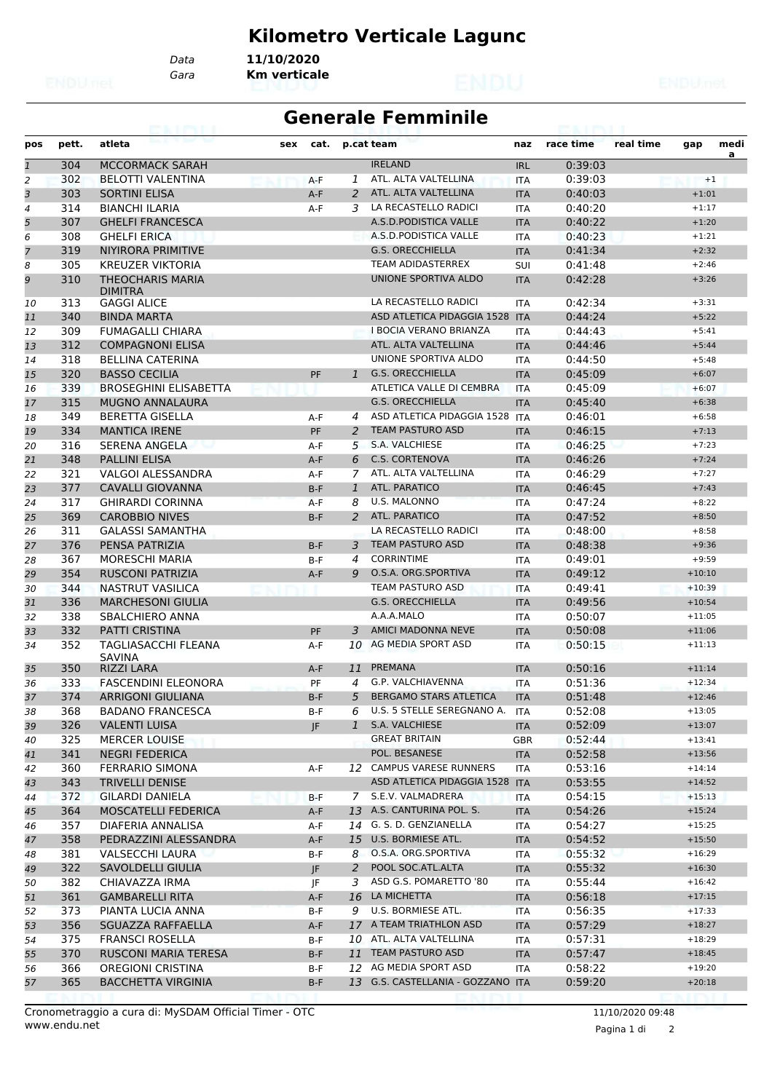# **Kilometro Verticale Lagunc**

*Gara* **Km verticale** *Data* **11/10/2020**

#### **Generale Femminile**

| pos            | pett.      | atleta                                                           | sex | cat.       |                | p.cat team                                                 | naz                      | race time          | real time | gap                  | medi |
|----------------|------------|------------------------------------------------------------------|-----|------------|----------------|------------------------------------------------------------|--------------------------|--------------------|-----------|----------------------|------|
| $\mathbf{1}$   | 304        | <b>MCCORMACK SARAH</b>                                           |     |            |                | <b>IRELAND</b>                                             | <b>IRL</b>               | 0:39:03            |           |                      | a    |
| $\overline{a}$ | 302        | <b>BELOTTI VALENTINA</b>                                         |     | $A-F$      | 1              | ATL. ALTA VALTELLINA                                       | <b>ITA</b>               | 0:39:03            |           | $+1$                 |      |
| 3              | 303        | <b>SORTINI ELISA</b>                                             |     | $A-F$      | 2              | ATL. ALTA VALTELLINA                                       | <b>ITA</b>               | 0:40:03            |           | $+1:01$              |      |
| 4              | 314        | <b>BIANCHI ILARIA</b>                                            |     | $A-F$      | 3              | LA RECASTELLO RADICI                                       | <b>ITA</b>               | 0:40:20            |           | $+1:17$              |      |
| 5              | 307        | <b>GHELFI FRANCESCA</b>                                          |     |            |                | A.S.D.PODISTICA VALLE                                      | <b>ITA</b>               | 0:40:22            |           | $+1:20$              |      |
| 6              | 308        | <b>GHELFI ERICA</b>                                              |     |            |                | A.S.D. PODISTICA VALLE                                     | <b>ITA</b>               | 0:40:23            |           | $+1:21$              |      |
| 7              | 319        | NIYIRORA PRIMITIVE                                               |     |            |                | <b>G.S. ORECCHIELLA</b>                                    | <b>ITA</b>               | 0:41:34            |           | $+2:32$              |      |
| 8              | 305        | <b>KREUZER VIKTORIA</b>                                          |     |            |                | TEAM ADIDASTERREX                                          | SUI                      | 0:41:48            |           | $+2:46$              |      |
| 9              | 310        | <b>THEOCHARIS MARIA</b><br><b>DIMITRA</b>                        |     |            |                | UNIONE SPORTIVA ALDO                                       | <b>ITA</b>               | 0:42:28            |           | $+3:26$              |      |
| 10             | 313        | <b>GAGGI ALICE</b>                                               |     |            |                | LA RECASTELLO RADICI                                       | <b>ITA</b>               | 0:42:34            |           | $+3:31$              |      |
| 11             | 340        | <b>BINDA MARTA</b>                                               |     |            |                | ASD ATLETICA PIDAGGIA 1528 ITA                             |                          | 0:44:24            |           | $+5:22$              |      |
| 12             | 309        | <b>FUMAGALLI CHIARA</b>                                          |     |            |                | <b>I BOCIA VERANO BRIANZA</b>                              | <b>ITA</b>               | 0:44:43            |           | $+5:41$              |      |
| 13             | 312        | <b>COMPAGNONI ELISA</b>                                          |     |            |                | ATL. ALTA VALTELLINA                                       | <b>ITA</b>               | 0:44:46            |           | $+5:44$              |      |
| 14             | 318        | <b>BELLINA CATERINA</b>                                          |     |            |                | UNIONE SPORTIVA ALDO                                       | <b>ITA</b>               | 0:44:50            |           | $+5:48$              |      |
| 15             | 320        | <b>BASSO CECILIA</b>                                             |     | PF         | $\mathbf{1}$   | <b>G.S. ORECCHIELLA</b>                                    | <b>ITA</b>               | 0:45:09            |           | $+6:07$              |      |
| 16             | 339        | <b>BROSEGHINI ELISABETTA</b>                                     |     |            |                | ATLETICA VALLE DI CEMBRA                                   | <b>ITA</b>               | 0:45:09            |           | $+6:07$              |      |
| 17             | 315        | <b>MUGNO ANNALAURA</b>                                           |     |            |                | <b>G.S. ORECCHIELLA</b>                                    | <b>ITA</b>               | 0:45:40            |           | $+6:38$              |      |
| 18             | 349        | <b>BERETTA GISELLA</b>                                           |     | A-F        | 4              | ASD ATLETICA PIDAGGIA 1528 ITA                             |                          | 0:46:01            |           | $+6:58$              |      |
| 19             | 334        | <b>MANTICA IRENE</b>                                             |     | PF         | 2              | <b>TEAM PASTURO ASD</b>                                    | <b>ITA</b>               | 0:46:15            |           | $+7:13$              |      |
| 20             | 316        | <b>SERENA ANGELA</b>                                             |     | A-F        | 5              | S.A. VALCHIESE                                             | <b>ITA</b>               | 0:46:25            |           | $+7:23$              |      |
| 21             | 348        | <b>PALLINI ELISA</b>                                             |     | $A-F$      | 6              | <b>C.S. CORTENOVA</b>                                      | <b>ITA</b>               | 0:46:26            |           | $+7:24$              |      |
| 22             | 321        | <b>VALGOI ALESSANDRA</b>                                         |     | A-F        | 7              | ATL. ALTA VALTELLINA                                       | <b>ITA</b>               | 0:46:29            |           | $+7:27$              |      |
| 23             | 377        | <b>CAVALLI GIOVANNA</b>                                          |     | $B-F$      | $\mathbf{1}$   | ATL. PARATICO                                              | <b>ITA</b>               | 0:46:45            |           | $+7:43$              |      |
| 24             | 317        | <b>GHIRARDI CORINNA</b>                                          |     | A-F        | 8              | U.S. MALONNO                                               | <b>ITA</b>               | 0:47:24            |           | $+8:22$              |      |
| 25             | 369        | <b>CAROBBIO NIVES</b>                                            |     | $B-F$      | 2              | ATL. PARATICO                                              | <b>ITA</b>               | 0:47:52            |           | $+8:50$              |      |
| 26             | 311        | <b>GALASSI SAMANTHA</b>                                          |     |            |                | LA RECASTELLO RADICI                                       | <b>ITA</b>               | 0:48:00            |           | $+8:58$              |      |
| 27             | 376        | PENSA PATRIZIA                                                   |     | $B-F$      | 3              | <b>TEAM PASTURO ASD</b>                                    | <b>ITA</b>               | 0:48:38            |           | $+9:36$              |      |
| 28             | 367        | <b>MORESCHI MARIA</b>                                            |     | B-F        | 4              | <b>CORRINTIME</b>                                          | <b>ITA</b>               | 0:49:01            |           | $+9:59$              |      |
| 29             | 354        | <b>RUSCONI PATRIZIA</b>                                          |     | $A-F$      | 9              | O.S.A. ORG.SPORTIVA                                        | <b>ITA</b>               | 0:49:12            |           | $+10:10$             |      |
|                | 344        | NASTRUT VASILICA                                                 |     |            |                | TEAM PASTURO ASD                                           |                          | 0:49:41            |           | $+10:39$             |      |
| 30             |            |                                                                  |     |            |                | <b>G.S. ORECCHIELLA</b>                                    | <b>ITA</b>               |                    |           |                      |      |
| 31             | 336        | <b>MARCHESONI GIULIA</b>                                         |     |            |                | A.A.A.MALO                                                 | <b>ITA</b>               | 0:49:56            |           | $+10:54$             |      |
| 32             | 338        | SBALCHIERO ANNA                                                  |     |            |                | <b>AMICI MADONNA NEVE</b>                                  | <b>ITA</b>               | 0:50:07            |           | $+11:05$             |      |
| 33             | 332        | <b>PATTI CRISTINA</b>                                            |     | PF         | 3              | AG MEDIA SPORT ASD                                         | <b>ITA</b>               | 0:50:08            |           | $+11:06$             |      |
| 34<br>35       | 352<br>350 | <b>TAGLIASACCHI FLEANA</b><br><b>SAVINA</b><br><b>RIZZI LARA</b> |     | A-F<br>A-F | 10<br>11       | PREMANA                                                    | <b>ITA</b><br><b>ITA</b> | 0:50:15<br>0:50:16 |           | $+11:13$<br>$+11:14$ |      |
| 36             | 333        | <b>FASCENDINI ELEONORA</b>                                       |     | PF         | 4              | G.P. VALCHIAVENNA                                          | <b>ITA</b>               | 0:51:36            |           | $+12:34$             |      |
|                | 374        | <b>ARRIGONI GIULIANA</b>                                         |     | $B-F$      | 5              | <b>BERGAMO STARS ATLETICA</b>                              | <b>ITA</b>               | 0:51:48            |           | $+12:46$             |      |
| 37             | 368        | <b>BADANO FRANCESCA</b>                                          |     |            |                | 6 U.S. 5 STELLE SEREGNANO A.                               |                          | 0:52:08            |           | $+13:05$             |      |
| 38             |            |                                                                  |     | B-F        |                | S.A. VALCHIESE                                             | <b>ITA</b>               |                    |           | $+13:07$             |      |
| 39             | 326        | <b>VALENTI LUISA</b>                                             |     | JF         | 1              | <b>GREAT BRITAIN</b>                                       | <b>ITA</b>               | 0:52:09            |           | $+13:41$             |      |
| 40             | 325        | <b>MERCER LOUISE</b>                                             |     |            |                | POL. BESANESE                                              | <b>GBR</b>               | 0:52:44            |           |                      |      |
| 41             | 341        | <b>NEGRI FEDERICA</b>                                            |     |            |                |                                                            | <b>ITA</b>               | 0:52:58            |           | $+13:56$             |      |
| 42             | 360        | <b>FERRARIO SIMONA</b>                                           |     | A-F        |                | 12 CAMPUS VARESE RUNNERS<br>ASD ATLETICA PIDAGGIA 1528 ITA | ITA                      | 0:53:16            |           | $+14:14$             |      |
| 43             | 343        | <b>TRIVELLI DENISE</b>                                           |     |            |                |                                                            |                          | 0:53:55            |           | $+14:52$             |      |
| 44             | 372        | <b>GILARDI DANIELA</b>                                           |     | B-F        |                | 7 S.E.V. VALMADRERA                                        | ITA                      | 0:54:15            |           | $+15:13$             |      |
| 45             | 364        | MOSCATELLI FEDERICA                                              |     | A-F        |                | 13 A.S. CANTURINA POL. S.                                  | <b>ITA</b>               | 0:54:26            |           | $+15:24$             |      |
| 46             | 357        | DIAFERIA ANNALISA                                                |     | A-F        |                | 14 G. S. D. GENZIANELLA                                    | ITA                      | 0:54:27            |           | $+15:25$             |      |
| 47             | 358        | PEDRAZZINI ALESSANDRA                                            |     | A-F        | 15             | U.S. BORMIESE ATL.                                         | <b>ITA</b>               | 0:54:52            |           | $+15:50$             |      |
| 48             | 381        | <b>VALSECCHI LAURA</b>                                           |     | B-F        |                | 8 O.S.A. ORG.SPORTIVA                                      | ITA                      | 0:55:32            |           | $+16:29$             |      |
| 49             | 322        | SAVOLDELLI GIULIA                                                |     | JF         | $\overline{2}$ | POOL SOC.ATL.ALTA                                          | <b>ITA</b>               | 0:55:32            |           | $+16:30$             |      |
| 50             | 382        | CHIAVAZZA IRMA                                                   |     | JF         | 3              | ASD G.S. POMARETTO '80                                     | ITA                      | 0:55:44            |           | $+16:42$             |      |
| 51             | 361        | <b>GAMBARELLI RITA</b>                                           |     | A-F        |                | 16 LA MICHETTA                                             | <b>ITA</b>               | 0:56:18            |           | $+17:15$             |      |
| 52             | 373        | PIANTA LUCIA ANNA                                                |     | B-F        | 9              | U.S. BORMIESE ATL.                                         | ITA                      | 0:56:35            |           | $+17:33$             |      |
| 53             | 356        | SGUAZZA RAFFAELLA                                                |     | A-F        |                | 17 A TEAM TRIATHLON ASD                                    | <b>ITA</b>               | 0:57:29            |           | $+18:27$             |      |
| 54             | 375        | <b>FRANSCI ROSELLA</b>                                           |     | B-F        |                | 10 ATL. ALTA VALTELLINA                                    | ITA                      | 0:57:31            |           | $+18:29$             |      |
| 55             | 370        | RUSCONI MARIA TERESA                                             |     | B-F        |                | 11 TEAM PASTURO ASD                                        | <b>ITA</b>               | 0:57:47            |           | $+18:45$             |      |
| 56             | 366        | OREGIONI CRISTINA                                                |     | B-F        |                | 12 AG MEDIA SPORT ASD                                      | ITA                      | 0:58:22            |           | $+19:20$             |      |
| 57             | 365        | <b>BACCHETTA VIRGINIA</b>                                        |     | $B-F$      |                | 13 G.S. CASTELLANIA - GOZZANO ITA                          |                          | 0:59:20            |           | $+20:18$             |      |
|                |            |                                                                  |     |            |                |                                                            |                          |                    |           |                      |      |

Pagina 1 di 2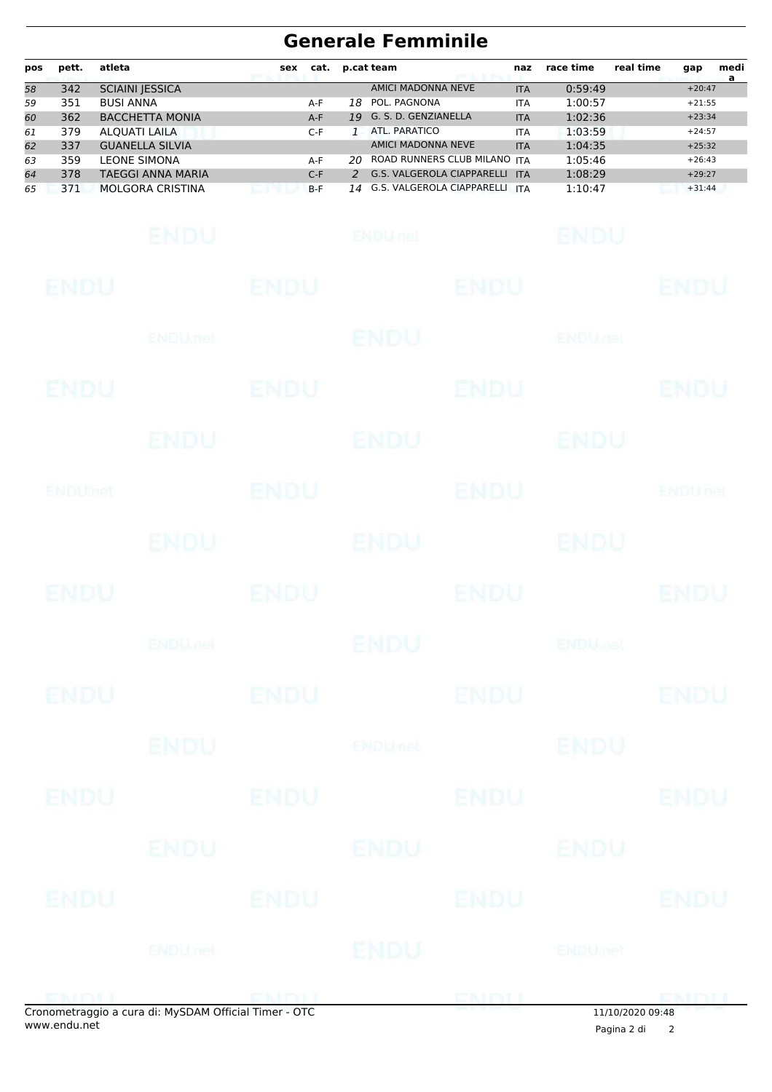# **Generale Femminile**

| pos | pett. | atleta                   | sex | cat.  |     | p.cat team                        | naz        | race time | real time | gap      | medi |
|-----|-------|--------------------------|-----|-------|-----|-----------------------------------|------------|-----------|-----------|----------|------|
| 58  | 342   | <b>SCIAINI JESSICA</b>   |     |       |     | AMICI MADONNA NEVE                | <b>ITA</b> | 0:59:49   |           | $+20:47$ | a    |
| 59  | 351   | <b>BUSI ANNA</b>         |     | A-F   | 18  | POL. PAGNONA                      | <b>ITA</b> | 1:00:57   |           | $+21:55$ |      |
| 60  | 362   | <b>BACCHETTA MONIA</b>   |     | $A-F$ |     | 19 G. S. D. GENZIANELLA           | <b>ITA</b> | 1:02:36   |           | $+23:34$ |      |
| 61  | 379   | <b>ALQUATI LAILA</b>     |     | $C-F$ |     | ATL. PARATICO                     | <b>ITA</b> | 1:03:59   |           | $+24:57$ |      |
| 62  | 337   | <b>GUANELLA SILVIA</b>   |     |       |     | AMICI MADONNA NEVE                | <b>ITA</b> | 1:04:35   |           | $+25:32$ |      |
| 63  | 359   | <b>LEONE SIMONA</b>      |     | A-F   | 20. | ROAD RUNNERS CLUB MILANO ITA      |            | 1:05:46   |           | $+26:43$ |      |
| 64  | 378   | <b>TAEGGI ANNA MARIA</b> |     | $C-F$ |     | <b>G.S. VALGEROLA CIAPPARELLI</b> | <b>ITA</b> | 1:08:29   |           | $+29:27$ |      |
| 65  | 371   | <b>MOLGORA CRISTINA</b>  |     | $B-F$ |     | 14 G.S. VALGEROLA CIAPPARELLI     | <b>ITA</b> | 1:10:47   |           | $+31:44$ |      |

|                |                           | onometraggio a cura di: MySDAM Official Timer - OTC |                 |                | $\frac{11}{10/202009:48}$ |                |
|----------------|---------------------------|-----------------------------------------------------|-----------------|----------------|---------------------------|----------------|
|                |                           |                                                     |                 | <b>ENTITLE</b> |                           |                |
|                | ENDU nel                  |                                                     | ENDU            |                | ENDUmet                   |                |
| ENDU           | ENDU                      |                                                     | <b>ENDU</b>     |                |                           | ENDU           |
|                | ENDU                      |                                                     | ENDU            |                | ENDU                      |                |
| <b>ENDU</b>    |                           | ENDU                                                |                 | <b>ENDU</b>    |                           | <b>ENDU</b>    |
|                | <b>ENDU</b>               |                                                     | <b>ENDUnet</b>  |                | <b>ENDU</b>               |                |
| <b>ENDU</b>    |                           | <b>ENDU</b>                                         |                 | <b>ENDU</b>    |                           | <b>ENDU</b>    |
|                | <b>ENDU<sub>met</sub></b> |                                                     | <b>ENDU</b>     |                | <b>ENDU<sub>DER</sub></b> |                |
| ENDU           |                           | <b>ENDU</b>                                         |                 | <b>ENDU</b>    |                           | <b>ENDU</b>    |
|                | ENDU.                     |                                                     | <b>ENDU</b>     |                | <b>ENDU</b>               |                |
| <b>ENDUMet</b> |                           | ENDU                                                |                 | <b>ENDU</b>    |                           | <b>ENDUnet</b> |
|                | ENDU                      |                                                     | <b>ENDU</b>     |                | <b>ENDU</b>               |                |
| ENDU           |                           | ENDU                                                |                 | <b>ENDU</b>    |                           | <b>ENDU</b>    |
|                | ENDU, nel                 |                                                     | <b>ENDU</b>     |                | <b>ENDUnet</b>            |                |
| <b>ENDU</b>    |                           | <b>ENDU</b>                                         |                 | <b>ENDU</b>    |                           | <b>ENDU</b>    |
|                | ENDU                      |                                                     | <b>ENDULfet</b> |                | ENDU                      |                |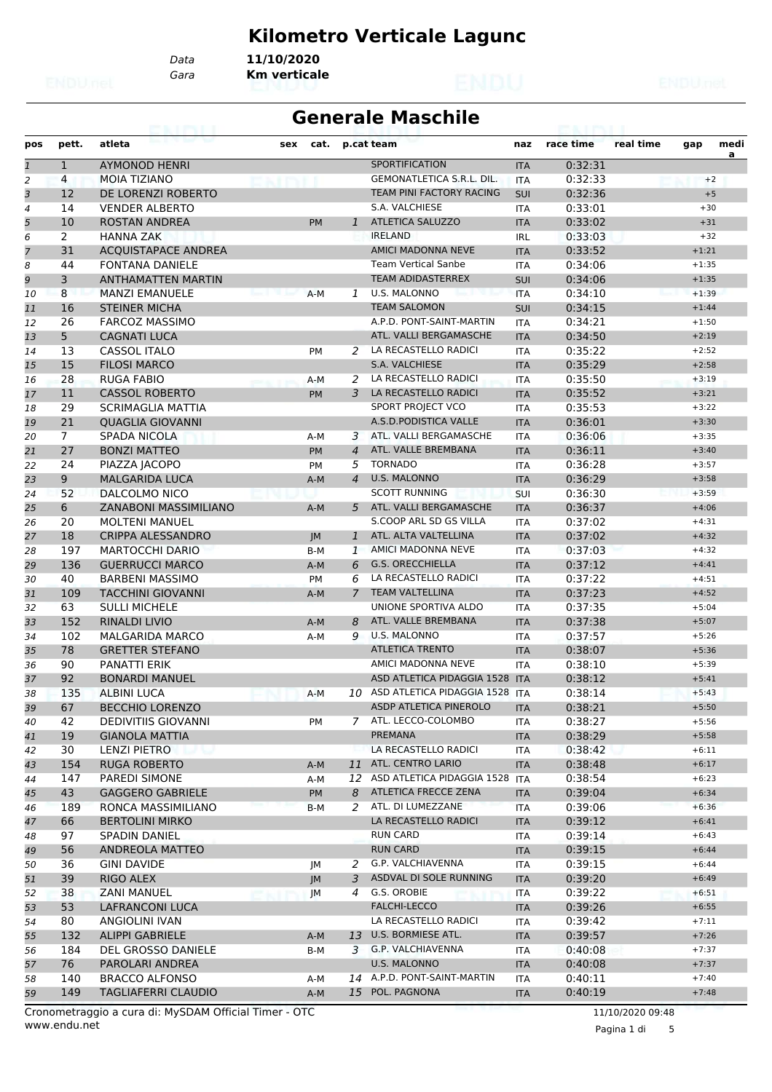## **Kilometro Verticale Lagunc**

*Data* **11/10/2020**

*Gara* **Km verticale**

### **Generale Maschile**

| pos            | pett.          | atleta                     | sex | cat.      |                | p.cat team                       | naz        | race time | real time | gap     | medi |
|----------------|----------------|----------------------------|-----|-----------|----------------|----------------------------------|------------|-----------|-----------|---------|------|
| $\mathbf{1}$   | $\mathbf{1}$   | <b>AYMONOD HENRI</b>       |     |           |                | SPORTIFICATION                   | <b>ITA</b> | 0:32:31   |           |         | a    |
| 2              | 4              | <b>MOIA TIZIANO</b>        |     |           |                | <b>GEMONATLETICA S.R.L. DIL.</b> | <b>ITA</b> | 0:32:33   |           | $+2$    |      |
| 3              | 12             | DE LORENZI ROBERTO         |     |           |                | TEAM PINI FACTORY RACING         | SUI        | 0:32:36   |           | $+5$    |      |
| $\overline{4}$ | 14             | <b>VENDER ALBERTO</b>      |     |           |                | S.A. VALCHIESE                   | <b>ITA</b> | 0:33:01   |           | $+30$   |      |
| 5              | 10             | <b>ROSTAN ANDREA</b>       |     | <b>PM</b> | $\mathbf{1}$   | <b>ATLETICA SALUZZO</b>          | <b>ITA</b> | 0:33:02   |           | $+31$   |      |
| 6              | $\overline{2}$ | <b>HANNA ZAK</b>           |     |           |                | <b>IRELAND</b>                   | <b>IRL</b> | 0:33:03   |           | $+32$   |      |
| $\overline{7}$ | 31             | <b>ACQUISTAPACE ANDREA</b> |     |           |                | <b>AMICI MADONNA NEVE</b>        | <b>ITA</b> | 0:33:52   |           | $+1:21$ |      |
| 8              | 44             | <b>FONTANA DANIELE</b>     |     |           |                | <b>Team Vertical Sanbe</b>       | <b>ITA</b> | 0:34:06   |           | $+1:35$ |      |
| 9              | 3              | <b>ANTHAMATTEN MARTIN</b>  |     |           |                | <b>TEAM ADIDASTERREX</b>         | SUI        | 0:34:06   |           | $+1:35$ |      |
| 10             | 8              | <b>MANZI EMANUELE</b>      |     | $A-M$     | 1              | U.S. MALONNO                     | <b>ITA</b> | 0:34:10   |           | $+1:39$ |      |
| 11             | 16             | <b>STEINER MICHA</b>       |     |           |                | <b>TEAM SALOMON</b>              | SUI        | 0:34:15   |           | $+1:44$ |      |
| 12             | 26             | <b>FARCOZ MASSIMO</b>      |     |           |                | A.P.D. PONT-SAINT-MARTIN         | <b>ITA</b> | 0:34:21   |           | $+1:50$ |      |
| 13             | 5              | <b>CAGNATI LUCA</b>        |     |           |                | ATL. VALLI BERGAMASCHE           | <b>ITA</b> | 0:34:50   |           | $+2:19$ |      |
| 14             | 13             | <b>CASSOL ITALO</b>        |     | PM        | 2              | LA RECASTELLO RADICI             | <b>ITA</b> | 0:35:22   |           | $+2:52$ |      |
| 15             | 15             | <b>FILOSI MARCO</b>        |     |           |                | S.A. VALCHIESE                   | <b>ITA</b> | 0:35:29   |           | $+2:58$ |      |
| 16             | 28             | <b>RUGA FABIO</b>          |     | A-M       | 2              | LA RECASTELLO RADICI             | <b>ITA</b> | 0:35:50   |           | $+3:19$ |      |
| 17             | 11             | <b>CASSOL ROBERTO</b>      |     | PM        | 3              | LA RECASTELLO RADICI             | <b>ITA</b> | 0:35:52   |           | $+3:21$ |      |
| 18             | 29             | <b>SCRIMAGLIA MATTIA</b>   |     |           |                | SPORT PROJECT VCO                | <b>ITA</b> | 0:35:53   |           | $+3:22$ |      |
| 19             | 21             | <b>OUAGLIA GIOVANNI</b>    |     |           |                | A.S.D.PODISTICA VALLE            | <b>ITA</b> | 0:36:01   |           | $+3:30$ |      |
| 20             | $\overline{7}$ | SPADA NICOLA               |     | A-M       | 3              | ATL. VALLI BERGAMASCHE           | <b>ITA</b> | 0:36:06   |           | $+3:35$ |      |
| 21             | 27             | <b>BONZI MATTEO</b>        |     | <b>PM</b> | $\overline{4}$ | ATL. VALLE BREMBANA              | <b>ITA</b> | 0:36:11   |           | $+3:40$ |      |
| 22             | 24             | PIAZZA JACOPO              |     | <b>PM</b> | 5              | <b>TORNADO</b>                   | <b>ITA</b> | 0:36:28   |           | $+3:57$ |      |
| 23             | 9              | <b>MALGARIDA LUCA</b>      |     | $A-M$     | $\overline{4}$ | <b>U.S. MALONNO</b>              | <b>ITA</b> | 0:36:29   |           | $+3:58$ |      |
| 24             | 52             | DALCOLMO NICO              |     |           |                | <b>SCOTT RUNNING</b>             | SUI        | 0:36:30   |           | $+3:59$ |      |
| 25             | 6              | ZANABONI MASSIMILIANO      |     | $A-M$     | 5              | ATL. VALLI BERGAMASCHE           | <b>ITA</b> | 0:36:37   |           | $+4:06$ |      |
| 26             | 20             | <b>MOLTENI MANUEL</b>      |     |           |                | S.COOP ARL SD GS VILLA           | ITA        | 0:37:02   |           | $+4:31$ |      |
| 27             | 18             | <b>CRIPPA ALESSANDRO</b>   |     | JM        | $\mathbf{1}$   | ATL. ALTA VALTELLINA             | <b>ITA</b> | 0:37:02   |           | $+4:32$ |      |
| 28             | 197            | <b>MARTOCCHI DARIO</b>     |     | B-M       | 1              | AMICI MADONNA NEVE               | <b>ITA</b> | 0:37:03   |           | $+4:32$ |      |
| 29             | 136            | <b>GUERRUCCI MARCO</b>     |     | $A-M$     | 6              | <b>G.S. ORECCHIELLA</b>          | <b>ITA</b> | 0:37:12   |           | $+4:41$ |      |
| 30             | 40             | <b>BARBENI MASSIMO</b>     |     | PM        | 6              | LA RECASTELLO RADICI             | <b>ITA</b> | 0:37:22   |           | $+4:51$ |      |
| 31             | 109            | <b>TACCHINI GIOVANNI</b>   |     | $A-M$     | $\overline{7}$ | <b>TEAM VALTELLINA</b>           | <b>ITA</b> | 0:37:23   |           | $+4:52$ |      |
| 32             | 63             | <b>SULLI MICHELE</b>       |     |           |                | UNIONE SPORTIVA ALDO             | <b>ITA</b> | 0:37:35   |           | $+5:04$ |      |
| 33             | 152            | <b>RINALDI LIVIO</b>       |     | $A-M$     | 8              | ATL. VALLE BREMBANA              | <b>ITA</b> | 0:37:38   |           | $+5:07$ |      |
| 34             | 102            | <b>MALGARIDA MARCO</b>     |     | A-M       | 9              | <b>U.S. MALONNO</b>              | <b>ITA</b> | 0:37:57   |           | $+5:26$ |      |
| 35             | 78             | <b>GRETTER STEFANO</b>     |     |           |                | <b>ATLETICA TRENTO</b>           | <b>ITA</b> | 0:38:07   |           | $+5:36$ |      |
| 36             | 90             | <b>PANATTI ERIK</b>        |     |           |                | AMICI MADONNA NEVE               | <b>ITA</b> | 0:38:10   |           | $+5:39$ |      |
| 37             | 92             | <b>BONARDI MANUEL</b>      |     |           |                | ASD ATLETICA PIDAGGIA 1528 ITA   |            | 0:38:12   |           | $+5:41$ |      |
| 38             | 135            | <b>ALBINI LUCA</b>         |     | A-M       | 10             | ASD ATLETICA PIDAGGIA 1528 ITA   |            | 0:38:14   |           | $+5:43$ |      |
| 39             | 67             | <b>BECCHIO LORENZO</b>     |     |           |                | ASDP ATLETICA PINEROLO           | <b>ITA</b> | 0:38:21   |           | $+5:50$ |      |
| 40             | 42             | <b>DEDIVITIIS GIOVANNI</b> |     | PM        |                | 7 ATL. LECCO-COLOMBO             | <b>ITA</b> | 0:38:27   |           | $+5:56$ |      |
| 41             | 19             | <b>GIANOLA MATTIA</b>      |     |           |                | PREMANA                          | <b>ITA</b> | 0:38:29   |           | $+5:58$ |      |
| 42             | 30             | LENZI PIETRO               |     |           |                | LA RECASTELLO RADICI             | <b>ITA</b> | 0:38:42   |           | $+6:11$ |      |
| 43             | 154            | <b>RUGA ROBERTO</b>        |     | A-M       |                | 11 ATL. CENTRO LARIO             | <b>ITA</b> | 0:38:48   |           | $+6:17$ |      |
| 44             | 147            | PAREDI SIMONE              |     | A-M       | 12             | ASD ATLETICA PIDAGGIA 1528 ITA   |            | 0:38:54   |           | $+6:23$ |      |
| 45             | 43             | <b>GAGGERO GABRIELE</b>    |     | <b>PM</b> | 8              | ATLETICA FRECCE ZENA             | <b>ITA</b> | 0:39:04   |           | $+6:34$ |      |
| 46             | 189            | RONCA MASSIMILIANO         |     | B-M       | 2              | ATL. DI LUMEZZANE                | <b>ITA</b> | 0:39:06   |           | $+6:36$ |      |
| 47             | 66             | <b>BERTOLINI MIRKO</b>     |     |           |                | LA RECASTELLO RADICI             | <b>ITA</b> | 0:39:12   |           | $+6:41$ |      |
| 48             | 97             | <b>SPADIN DANIEL</b>       |     |           |                | <b>RUN CARD</b>                  | ITA        | 0:39:14   |           | $+6:43$ |      |
| 49             | 56             | ANDREOLA MATTEO            |     |           |                | <b>RUN CARD</b>                  | <b>ITA</b> | 0:39:15   |           | $+6:44$ |      |
| 50             | 36             | <b>GINI DAVIDE</b>         |     | JM        | 2              | G.P. VALCHIAVENNA                | ITA        | 0:39:15   |           | $+6:44$ |      |
| 51             | 39             | RIGO ALEX                  |     | JM        | 3              | ASDVAL DI SOLE RUNNING           | <b>ITA</b> | 0:39:20   |           | $+6:49$ |      |
| 52             | 38             | <b>ZANI MANUEL</b>         |     |           | 4              | G.S. OROBIE                      | <b>ITA</b> | 0:39:22   |           | $+6:51$ |      |
| 53             | 53             | LAFRANCONI LUCA            |     | JM        |                | FALCHI-LECCO                     | <b>ITA</b> | 0:39:26   |           | $+6:55$ |      |
| 54             | 80             | ANGIOLINI IVAN             |     |           |                | LA RECASTELLO RADICI             | ITA        | 0:39:42   |           | $+7:11$ |      |
| 55             | 132            | <b>ALIPPI GABRIELE</b>     |     | A-M       | 13             | U.S. BORMIESE ATL.               | <b>ITA</b> | 0:39:57   |           | $+7:26$ |      |
| 56             | 184            | DEL GROSSO DANIELE         |     | B-M       | 3              | G.P. VALCHIAVENNA                | ITA        | 0:40:08   |           | $+7:37$ |      |
| 57             | 76             | PAROLARI ANDREA            |     |           |                | U.S. MALONNO                     | <b>ITA</b> | 0:40:08   |           | $+7:37$ |      |
| 58             | 140            | <b>BRACCO ALFONSO</b>      |     | A-M       |                | 14 A.P.D. PONT-SAINT-MARTIN      | <b>ITA</b> | 0:40:11   |           | $+7:40$ |      |
| 59             | 149            | <b>TAGLIAFERRI CLAUDIO</b> |     | $A-M$     |                | 15 POL. PAGNONA                  | <b>ITA</b> | 0:40:19   |           | $+7:48$ |      |

www.endu.net Cronometraggio a cura di: MySDAM Official Timer - OTC 11/10/2020 09:48

Pagina 1 di 5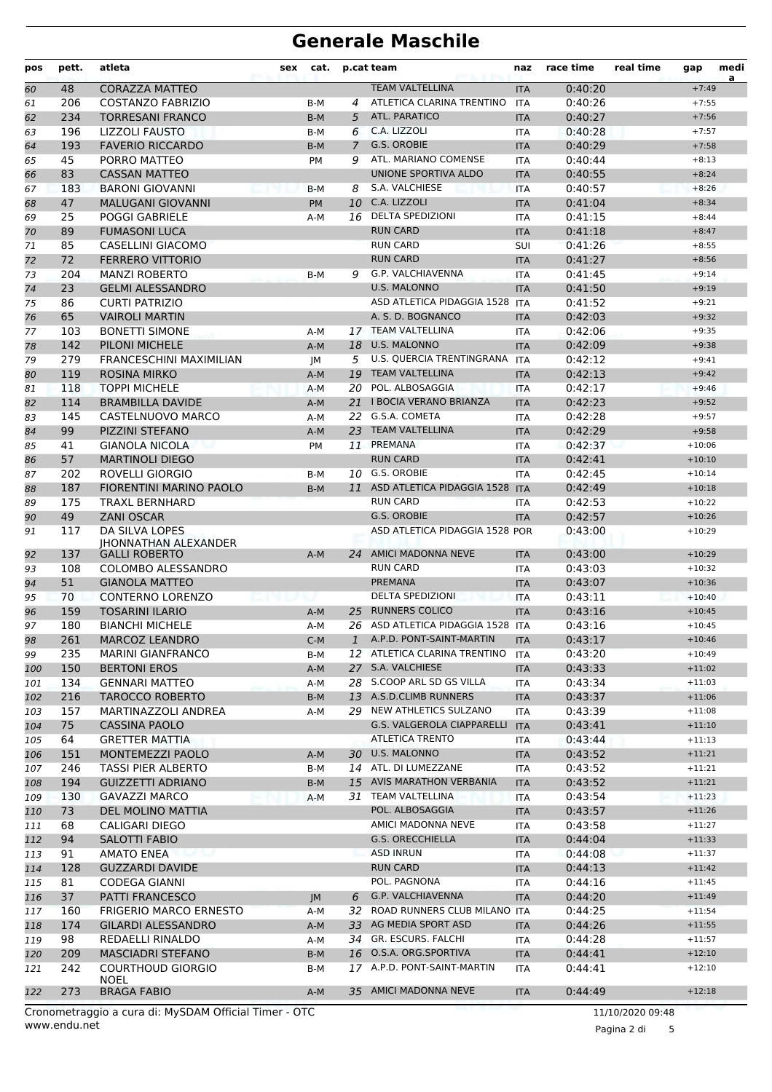| pos | pett. | atleta                                                 | sex | cat.      | p.cat team |                                    | naz        | race time | real time | gap      | medi<br>a |
|-----|-------|--------------------------------------------------------|-----|-----------|------------|------------------------------------|------------|-----------|-----------|----------|-----------|
| 60  | 48    | <b>CORAZZA MATTEO</b>                                  |     |           |            | <b>TEAM VALTELLINA</b>             | <b>ITA</b> | 0:40:20   |           | $+7:49$  |           |
| 61  | 206   | <b>COSTANZO FABRIZIO</b>                               |     | B-M       | 4          | ATLETICA CLARINA TRENTINO          | <b>ITA</b> | 0:40:26   |           | $+7:55$  |           |
| 62  | 234   | <b>TORRESANI FRANCO</b>                                |     | $B-M$     | 5          | ATL. PARATICO                      | <b>ITA</b> | 0:40:27   |           | $+7:56$  |           |
| 63  | 196   | LIZZOLI FAUSTO                                         |     | B-M       | 6          | C.A. LIZZOLI                       | <b>ITA</b> | 0:40:28   |           | $+7:57$  |           |
| 64  | 193   | <b>FAVERIO RICCARDO</b>                                |     | $B-M$     | 7          | G.S. OROBIE<br><b>ITA</b>          |            | 0:40:29   |           | $+7:58$  |           |
| 65  | 45    | PORRO MATTEO                                           |     | PM        | 9          | ATL. MARIANO COMENSE<br><b>ITA</b> |            | 0:40:44   |           | $+8:13$  |           |
| 66  | 83    | <b>CASSAN MATTEO</b>                                   |     |           |            | UNIONE SPORTIVA ALDO               | <b>ITA</b> | 0:40:55   |           | $+8:24$  |           |
| 67  | 183   | <b>BARONI GIOVANNI</b>                                 |     | $B-M$     | 8          | S.A. VALCHIESE                     | <b>ITA</b> | 0:40:57   |           | $+8:26$  |           |
| 68  | 47    | <b>MALUGANI GIOVANNI</b>                               |     | <b>PM</b> | 10         | C.A. LIZZOLI                       | <b>ITA</b> | 0:41:04   |           | $+8:34$  |           |
| 69  | 25    | <b>POGGI GABRIELE</b>                                  |     | A-M       | 16         | <b>DELTA SPEDIZIONI</b>            | <b>ITA</b> | 0:41:15   |           | $+8:44$  |           |
| 70  | 89    | <b>FUMASONI LUCA</b>                                   |     |           |            | <b>RUN CARD</b>                    | <b>ITA</b> | 0:41:18   |           | $+8:47$  |           |
| 71  | 85    | CASELLINI GIACOMO                                      |     |           |            | <b>RUN CARD</b>                    | SUI        | 0:41:26   |           | $+8:55$  |           |
| 72  | 72    | <b>FERRERO VITTORIO</b>                                |     |           |            | <b>RUN CARD</b>                    | <b>ITA</b> | 0:41:27   |           | $+8:56$  |           |
| 73  | 204   | <b>MANZI ROBERTO</b>                                   |     | B-M       | 9          | G.P. VALCHIAVENNA                  | <b>ITA</b> | 0:41:45   |           | $+9:14$  |           |
| 74  | 23    | <b>GELMI ALESSANDRO</b>                                |     |           |            | <b>U.S. MALONNO</b>                | <b>ITA</b> | 0:41:50   |           | $+9:19$  |           |
| 75  | 86    | <b>CURTI PATRIZIO</b>                                  |     |           |            | ASD ATLETICA PIDAGGIA 1528         | <b>ITA</b> | 0:41:52   |           | $+9:21$  |           |
| 76  | 65    | <b>VAIROLI MARTIN</b>                                  |     |           |            | A. S. D. BOGNANCO                  | <b>ITA</b> | 0:42:03   |           | $+9:32$  |           |
| 77  | 103   | <b>BONETTI SIMONE</b>                                  |     | A-M       |            | 17 TEAM VALTELLINA                 | <b>ITA</b> | 0:42:06   |           | $+9:35$  |           |
| 78  | 142   | <b>PILONI MICHELE</b>                                  |     | $A-M$     | 18         | <b>U.S. MALONNO</b>                | <b>ITA</b> | 0:42:09   |           | $+9:38$  |           |
| 79  | 279   | <b>FRANCESCHINI MAXIMILIAN</b>                         |     | JМ        | 5          | U.S. QUERCIA TRENTINGRANA ITA      |            | 0:42:12   |           | $+9:41$  |           |
| 80  | 119   | <b>ROSINA MIRKO</b>                                    |     | $A-M$     | 19         | <b>TEAM VALTELLINA</b>             | <b>ITA</b> | 0:42:13   |           | $+9:42$  |           |
| 81  | 118   | <b>TOPPI MICHELE</b>                                   |     | $A-M$     | 20         | POL. ALBOSAGGIA                    | <b>ITA</b> | 0:42:17   |           | $+9:46$  |           |
| 82  | 114   | <b>BRAMBILLA DAVIDE</b>                                |     | $A-M$     | 21         | <b>I BOCIA VERANO BRIANZA</b>      | <b>ITA</b> | 0:42:23   |           | $+9:52$  |           |
| 83  | 145   | CASTELNUOVO MARCO                                      |     | A-M       |            | 22 G.S.A. COMETA                   | <b>ITA</b> | 0:42:28   |           | $+9:57$  |           |
| 84  | 99    | PIZZINI STEFANO                                        |     | $A-M$     | 23         | <b>TEAM VALTELLINA</b>             | <b>ITA</b> | 0:42:29   |           | $+9:58$  |           |
| 85  | 41    | <b>GIANOLA NICOLA</b>                                  |     | PM        |            | 11 PREMANA                         | <b>ITA</b> | 0:42:37   |           | $+10:06$ |           |
| 86  | 57    | <b>MARTINOLI DIEGO</b>                                 |     |           |            | <b>RUN CARD</b>                    | <b>ITA</b> | 0:42:41   |           | $+10:10$ |           |
| 87  | 202   | ROVELLI GIORGIO                                        |     | B-M       |            | 10 G.S. OROBIE                     | <b>ITA</b> | 0:42:45   |           | $+10:14$ |           |
| 88  | 187   | FIORENTINI MARINO PAOLO                                |     | $B-M$     | 11         | ASD ATLETICA PIDAGGIA 1528 ITA     |            | 0:42:49   |           | $+10:18$ |           |
| 89  | 175   | TRAXL BERNHARD                                         |     |           |            | <b>RUN CARD</b>                    | <b>ITA</b> | 0:42:53   |           | $+10:22$ |           |
| 90  | 49    | <b>ZANI OSCAR</b>                                      |     |           |            | G.S. OROBIE                        | <b>ITA</b> | 0:42:57   |           | $+10:26$ |           |
| 91  | 117   | DA SILVA LOPES                                         |     |           |            | ASD ATLETICA PIDAGGIA 1528 POR     |            | 0:43:00   |           | $+10:29$ |           |
|     |       | <b>IHONNATHAN ALEXANDER</b>                            |     |           |            |                                    |            |           |           |          |           |
| 92  | 137   | <b>GALLI ROBERTO</b>                                   |     | $A-M$     |            | 24 AMICI MADONNA NEVE              | <b>ITA</b> | 0:43:00   |           | $+10:29$ |           |
| 93  | 108   | COLOMBO ALESSANDRO                                     |     |           |            | <b>RUN CARD</b>                    | <b>ITA</b> | 0:43:03   |           | $+10:32$ |           |
| 94  | 51    | <b>GIANOLA MATTEO</b>                                  |     |           |            | <b>PREMANA</b>                     | <b>ITA</b> | 0:43:07   |           | $+10:36$ |           |
| 95  | 70    | <b>CONTERNO LORENZO</b>                                |     |           |            | <b>DELTA SPEDIZIONI</b>            | <b>ITA</b> | 0:43:11   |           | $+10:40$ |           |
| 96  | 159   | <b>TOSARINI ILARIO</b>                                 |     | $A-M$     | 25         | <b>RUNNERS COLICO</b>              | <b>ITA</b> | 0:43:16   |           | $+10:45$ |           |
| 97  | 180   | <b>BIANCHI MICHELE</b>                                 |     | A-M       |            | 26 ASD ATLETICA PIDAGGIA 1528 ITA  |            | 0:43:16   |           | $+10:45$ |           |
| 98  | 261   | MARCOZ LEANDRO                                         |     | $C-M$     |            | 1 A.P.D. PONT-SAINT-MARTIN         | <b>ITA</b> | 0:43:17   |           | $+10:46$ |           |
| 99  | 235   | <b>MARINI GIANFRANCO</b>                               |     | B-M       |            | 12 ATLETICA CLARINA TRENTINO       | ITA        | 0:43:20   |           | $+10:49$ |           |
| 100 | 150   | <b>BERTONI EROS</b>                                    |     | $A-M$     |            | 27 S.A. VALCHIESE                  | <b>ITA</b> | 0:43:33   |           | $+11:02$ |           |
| 101 | 134   | <b>GENNARI MATTEO</b>                                  |     | A-M       |            | 28 S.COOP ARL SD GS VILLA          | ITA        | 0:43:34   |           | $+11:03$ |           |
| 102 | 216   | <b>TAROCCO ROBERTO</b>                                 |     | B-M       |            | 13 A.S.D.CLIMB RUNNERS             | <b>ITA</b> | 0:43:37   |           | $+11:06$ |           |
| 103 | 157   | MARTINAZZOLI ANDREA                                    |     | A-M       |            | 29 NEW ATHLETICS SULZANO           | ITA        | 0:43:39   |           | $+11:08$ |           |
| 104 | 75    | <b>CASSINA PAOLO</b>                                   |     |           |            | G.S. VALGEROLA CIAPPARELLI ITA     |            | 0:43:41   |           | $+11:10$ |           |
| 105 | 64    | <b>GRETTER MATTIA</b>                                  |     |           |            | <b>ATLETICA TRENTO</b>             | ITA        | 0:43:44   |           | $+11:13$ |           |
| 106 | 151   | MONTEMEZZI PAOLO                                       |     | $A-M$     |            | 30 U.S. MALONNO                    | <b>ITA</b> | 0:43:52   |           | $+11:21$ |           |
| 107 | 246   | TASSI PIER ALBERTO                                     |     | B-M       |            | 14 ATL. DI LUMEZZANE               | ITA        | 0:43:52   |           | $+11:21$ |           |
| 108 | 194   | <b>GUIZZETTI ADRIANO</b>                               |     | $B-M$     | 15         | <b>AVIS MARATHON VERBANIA</b>      | <b>ITA</b> | 0:43:52   |           | $+11:21$ |           |
| 109 | 130   | <b>GAVAZZI MARCO</b>                                   |     | A-M       |            | 31 TEAM VALTELLINA                 | ITA        | 0:43:54   |           | $+11:23$ |           |
| 110 | 73    | DEL MOLINO MATTIA                                      |     |           |            | POL. ALBOSAGGIA                    | <b>ITA</b> | 0:43:57   |           | $+11:26$ |           |
| 111 | 68    | CALIGARI DIEGO                                         |     |           |            | AMICI MADONNA NEVE                 | ITA        | 0:43:58   |           | $+11:27$ |           |
| 112 | 94    | SALOTTI FABIO                                          |     |           |            | <b>G.S. ORECCHIELLA</b>            | <b>ITA</b> | 0:44:04   |           | $+11:33$ |           |
| 113 | 91    | AMATO ENEA                                             |     |           |            | <b>ASD INRUN</b>                   | ITA        | 0:44:08   |           | $+11:37$ |           |
| 114 | 128   | <b>GUZZARDI DAVIDE</b>                                 |     |           |            | <b>RUN CARD</b>                    | <b>ITA</b> | 0:44:13   |           | $+11:42$ |           |
| 115 | 81    | <b>CODEGA GIANNI</b>                                   |     |           |            | POL. PAGNONA                       | ITA        | 0:44:16   |           | $+11:45$ |           |
| 116 | 37    | PATTI FRANCESCO                                        |     | JM        | 6          | G.P. VALCHIAVENNA                  | <b>ITA</b> | 0:44:20   |           | $+11:49$ |           |
| 117 | 160   | <b>FRIGERIO MARCO ERNESTO</b>                          |     | A-M       |            | 32 ROAD RUNNERS CLUB MILANO ITA    |            | 0:44:25   |           | $+11:54$ |           |
| 118 | 174   | <b>GILARDI ALESSANDRO</b>                              |     | $A-M$     |            | 33 AG MEDIA SPORT ASD              | <b>ITA</b> | 0:44:26   |           | $+11:55$ |           |
| 119 | 98    | REDAELLI RINALDO                                       |     | A-M       |            | 34 GR. ESCURS. FALCHI              | ITA        | 0:44:28   |           | $+11:57$ |           |
| 120 | 209   | <b>MASCIADRI STEFANO</b>                               |     | $B-M$     |            | 16 O.S.A. ORG.SPORTIVA             | <b>ITA</b> | 0:44:41   |           | $+12:10$ |           |
| 121 | 242   | <b>COURTHOUD GIORGIO</b>                               |     | B-M       |            | 17 A.P.D. PONT-SAINT-MARTIN        | ITA        | 0:44:41   |           | $+12:10$ |           |
|     |       | <b>NOEL</b>                                            |     |           |            |                                    |            |           |           |          |           |
| 122 | 273   | <b>BRAGA FABIO</b><br>$\sim$ di. M.C.DAM Official Time |     | A-M       |            | 35 AMICI MADONNA NEVE              | <b>ITA</b> | 0:44:49   |           | $+12:18$ |           |

Pagina 2 di 5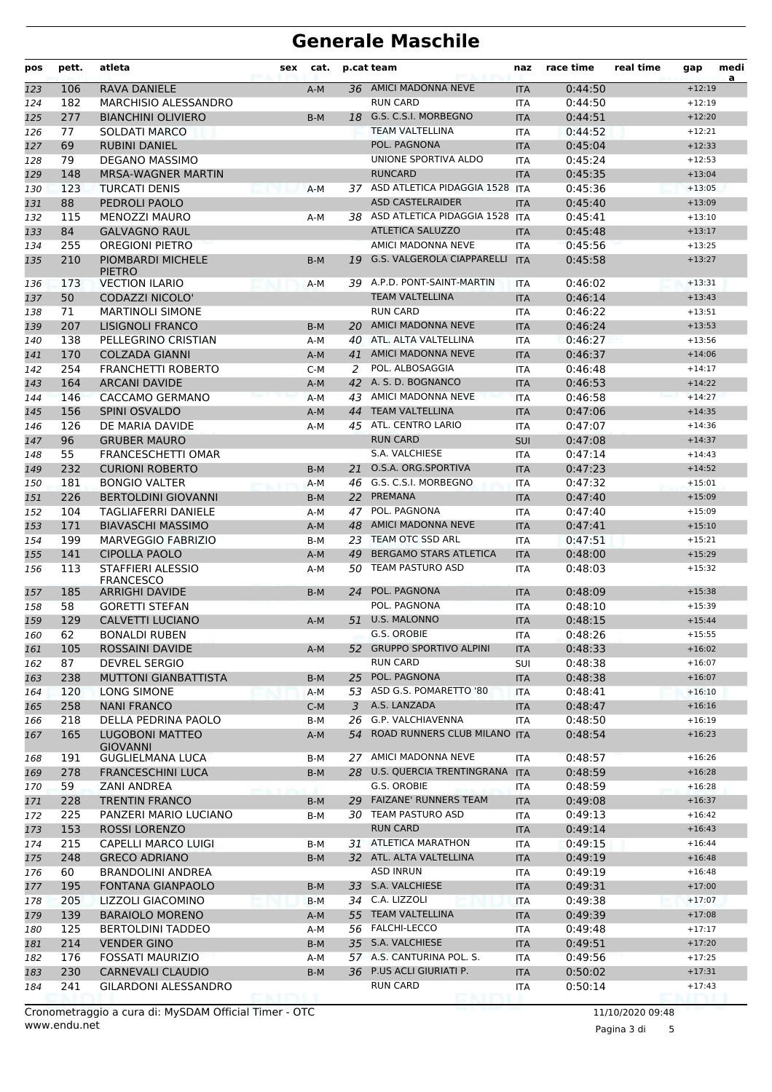| pos        | pett.      | atleta                                       | sex | cat.  |                      | p.cat team<br>naz                    |            | race time          | real time | gap                  | medi<br>a |
|------------|------------|----------------------------------------------|-----|-------|----------------------|--------------------------------------|------------|--------------------|-----------|----------------------|-----------|
| 123        | 106        | RAVA DANIELE                                 |     | $A-M$ |                      | 36 AMICI MADONNA NEVE                | <b>ITA</b> | 0:44:50            |           | $+12:19$             |           |
| 124        | 182        | <b>MARCHISIO ALESSANDRO</b>                  |     |       |                      | <b>RUN CARD</b>                      | <b>ITA</b> | 0:44:50            |           | $+12:19$             |           |
| 125        | 277        | <b>BIANCHINI OLIVIERO</b>                    |     | $B-M$ |                      | 18 G.S. C.S.I. MORBEGNO              | <b>ITA</b> | 0:44:51            |           | $+12:20$             |           |
| 126        | 77         | <b>SOLDATI MARCO</b>                         |     |       |                      | <b>TEAM VALTELLINA</b>               | <b>ITA</b> | 0:44:52            |           | $+12:21$             |           |
| 127        | 69         | <b>RUBINI DANIEL</b>                         |     |       | POL. PAGNONA         |                                      | <b>ITA</b> | 0:45:04            |           | $+12:33$             |           |
| 128        | 79         | <b>DEGANO MASSIMO</b>                        |     |       | UNIONE SPORTIVA ALDO |                                      | <b>ITA</b> | 0:45:24            |           | $+12:53$             |           |
| 129        | 148        | MRSA-WAGNER MARTIN                           |     |       |                      | <b>RUNCARD</b><br><b>ITA</b>         |            | 0:45:35            |           | $+13:04$             |           |
| 130        | 123        | <b>TURCATI DENIS</b>                         |     | $A-M$ |                      | 37 ASD ATLETICA PIDAGGIA 1528 ITA    |            | 0:45:36            |           | $+13:05$             |           |
| 131        | 88         | PEDROLI PAOLO                                |     |       |                      | <b>ASD CASTELRAIDER</b>              | <b>ITA</b> | 0:45:40            |           | $+13:09$             |           |
| 132        | 115        | <b>MENOZZI MAURO</b>                         |     | A-M   |                      | 38 ASD ATLETICA PIDAGGIA 1528 ITA    |            | 0:45:41            |           | $+13:10$             |           |
| 133        | 84         | <b>GALVAGNO RAUL</b>                         |     |       |                      | <b>ATLETICA SALUZZO</b>              | <b>ITA</b> | 0:45:48            |           | $+13:17$             |           |
| 134        | 255        | <b>OREGIONI PIETRO</b>                       |     |       |                      | AMICI MADONNA NEVE                   | <b>ITA</b> | 0:45:56            |           | $+13:25$             |           |
| 135        | 210        | <b>PIOMBARDI MICHELE</b><br><b>PIETRO</b>    |     | $B-M$ | 19                   | <b>G.S. VALGEROLA CIAPPARELLI</b>    | <b>ITA</b> | 0:45:58            |           | $+13:27$             |           |
| 136        | 173        | <b>VECTION ILARIO</b>                        |     | $A-M$ |                      | 39 A.P.D. PONT-SAINT-MARTIN          | <b>ITA</b> | 0:46:02            |           | $+13:31$             |           |
| 137        | 50         | <b>CODAZZI NICOLO'</b>                       |     |       |                      | <b>TEAM VALTELLINA</b>               | <b>ITA</b> | 0:46:14            |           | $+13:43$             |           |
| 138        | 71         | <b>MARTINOLI SIMONE</b>                      |     |       |                      | <b>RUN CARD</b>                      | <b>ITA</b> | 0:46:22            |           | $+13:51$             |           |
| 139        | 207        | <b>LISIGNOLI FRANCO</b>                      |     | $B-M$ | 20                   | AMICI MADONNA NEVE                   | <b>ITA</b> | 0:46:24            |           | $+13:53$             |           |
| 140        | 138        | PELLEGRINO CRISTIAN                          |     | A-M   | 40                   | ATL. ALTA VALTELLINA                 | <b>ITA</b> | 0:46:27            |           | $+13:56$             |           |
| 141        | 170        | <b>COLZADA GIANNI</b>                        |     | $A-M$ | 41                   | <b>AMICI MADONNA NEVE</b>            | <b>ITA</b> | 0:46:37            |           | $+14:06$             |           |
| 142        | 254        | <b>FRANCHETTI ROBERTO</b>                    |     | $C-M$ | 2                    | POL. ALBOSAGGIA                      | <b>ITA</b> | 0:46:48            |           | $+14:17$             |           |
| 143        | 164        | <b>ARCANI DAVIDE</b>                         |     | A-M   |                      | 42 A.S.D. BOGNANCO                   | <b>ITA</b> | 0:46:53            |           | $+14:22$             |           |
| 144        | 146        | CACCAMO GERMANO                              |     | $A-M$ |                      | 43 AMICI MADONNA NEVE                | <b>ITA</b> | 0:46:58            |           | $+14:27$             |           |
| 145        | 156        | <b>SPINI OSVALDO</b>                         |     | $A-M$ | 44                   | <b>TEAM VALTELLINA</b>               | <b>ITA</b> | 0:47:06            |           | $+14:35$             |           |
| 146        | 126        | DE MARIA DAVIDE                              |     | A-M   | 45                   | ATL. CENTRO LARIO                    | ITA        | 0:47:07            |           | $+14:36$             |           |
| 147        | 96         | <b>GRUBER MAURO</b>                          |     |       |                      | <b>RUN CARD</b>                      | <b>SUI</b> | 0:47:08            |           | $+14:37$             |           |
| 148        | 55         | <b>FRANCESCHETTI OMAR</b>                    |     |       |                      | S.A. VALCHIESE                       | <b>ITA</b> | 0:47:14            |           | $+14:43$             |           |
| 149        | 232        | <b>CURIONI ROBERTO</b>                       |     | B-M   | 21                   | O.S.A. ORG.SPORTIVA                  | <b>ITA</b> | 0:47:23            |           | $+14:52$             |           |
| 150        | 181        | <b>BONGIO VALTER</b>                         |     | $A-M$ |                      | 46 G.S. C.S.I. MORBEGNO              | ITA        | 0:47:32            |           | $+15:01$             |           |
| 151        | 226        | <b>BERTOLDINI GIOVANNI</b>                   |     | $B-M$ | <b>22</b>            | PREMANA                              | <b>ITA</b> | 0:47:40            |           | $+15:09$             |           |
| 152        | 104        | TAGLIAFERRI DANIELE                          |     | A-M   | 47                   | POL. PAGNONA                         | <b>ITA</b> | 0:47:40            |           | $+15:09$             |           |
| 153        | 171        | <b>BIAVASCHI MASSIMO</b>                     |     | $A-M$ | 48                   | <b>AMICI MADONNA NEVE</b>            | <b>ITA</b> | 0:47:41            |           | $+15:10$             |           |
| 154        | 199        | <b>MARVEGGIO FABRIZIO</b>                    |     | $B-M$ | 23                   | TEAM OTC SSD ARL                     | <b>ITA</b> | 0:47:51            |           | $+15:21$             |           |
| 155        | 141        | <b>CIPOLLA PAOLO</b>                         |     | A-M   | 49                   | <b>BERGAMO STARS ATLETICA</b>        | <b>ITA</b> | 0:48:00            |           | $+15:29$             |           |
| 156        | 113        | STAFFIERI ALESSIO<br><b>FRANCESCO</b>        |     | A-M   | 50                   | <b>TEAM PASTURO ASD</b>              | <b>ITA</b> | 0:48:03            |           | $+15:32$             |           |
| 157        | 185        | <b>ARRIGHI DAVIDE</b>                        |     | $B-M$ | 24                   | POL. PAGNONA                         | <b>ITA</b> | 0:48:09            |           | $+15:38$             |           |
| 158        | 58         | <b>GORETTI STEFAN</b>                        |     |       |                      | POL. PAGNONA                         | <b>ITA</b> | 0:48:10            |           | $+15:39$             |           |
| 159        | 129        | <b>CALVETTI LUCIANO</b>                      |     | $A-M$ | 51                   | <b>U.S. MALONNO</b>                  | <b>ITA</b> | 0:48:15            |           | $+15:44$             |           |
| 160        | 62         | <b>BONALDI RUBEN</b>                         |     |       |                      | G.S. OROBIE                          | <b>ITA</b> | 0:48:26            |           | $+15:55$             |           |
| 161        | 105        | ROSSAINI DAVIDE                              |     | A-M   |                      | 52 GRUPPO SPORTIVO ALPINI            | <b>ITA</b> | 0:48:33            |           | $+16:02$             |           |
| 162        | 87         | DEVREL SERGIO                                |     |       |                      | <b>RUN CARD</b>                      | SUI        | 0:48:38            |           | $+16:07$             |           |
| 163        | 238        | <b>MUTTONI GIANBATTISTA</b>                  |     | B-M   | 25                   | POL. PAGNONA                         | <b>ITA</b> | 0:48:38            |           | $+16:07$             |           |
| 164        | 120        | LONG SIMONE                                  |     | $A-M$ |                      | 53 ASD G.S. POMARETTO '80            | ITA        | 0:48:41            |           | $+16:10$             |           |
| 165        | 258        | <b>NANI FRANCO</b>                           |     | $C-M$ | 3                    | A.S. LANZADA                         | <b>ITA</b> | 0:48:47            |           | $+16:16$             |           |
| 166        | 218        | DELLA PEDRINA PAOLO                          |     | B-M   | 26                   | G.P. VALCHIAVENNA                    | ITA        | 0:48:50            |           | $+16:19$             |           |
| 167        | 165        | <b>LUGOBONI MATTEO</b><br><b>GIOVANNI</b>    |     | A-M   | 54                   | ROAD RUNNERS CLUB MILANO ITA         |            | 0:48:54            |           | $+16:23$             |           |
| 168        | 191        | <b>GUGLIELMANA LUCA</b>                      |     | B-M   |                      | 27 AMICI MADONNA NEVE                | ITA        | 0:48:57            |           | $+16:26$             |           |
| 169        | 278        | FRANCESCHINI LUCA                            |     | B-M   |                      | 28 U.S. QUERCIA TRENTINGRANA ITA     |            | 0:48:59            |           | $+16:28$             |           |
| 170        | 59         | ZANI ANDREA                                  |     |       |                      | G.S. OROBIE                          | ITA        | 0:48:59            |           | $+16:28$             |           |
| 171        | 228        | <b>TRENTIN FRANCO</b>                        |     | B-M   | 29                   | <b>FAIZANE' RUNNERS TEAM</b>         | <b>ITA</b> | 0:49:08            |           | $+16:37$             |           |
| 172        | 225        | PANZERI MARIO LUCIANO                        |     | B-M   |                      | 30 TEAM PASTURO ASD                  | ITA        | 0:49:13            |           | $+16:42$             |           |
| 173        | 153        | <b>ROSSI LORENZO</b>                         |     |       |                      | <b>RUN CARD</b>                      | <b>ITA</b> | 0:49:14            |           | $+16:43$             |           |
| 174        | 215        | CAPELLI MARCO LUIGI                          |     | B-M   |                      | 31 ATLETICA MARATHON                 | ITA        | 0:49:15            |           | $+16:44$             |           |
| 175        | 248        | <b>GRECO ADRIANO</b>                         |     | B-M   |                      | 32 ATL. ALTA VALTELLINA              | <b>ITA</b> | 0:49:19            |           | $+16:48$             |           |
| 176        | 60         | BRANDOLINI ANDREA                            |     |       |                      | <b>ASD INRUN</b>                     | ITA        | 0:49:19            |           | $+16:48$             |           |
| 177        | 195        | FONTANA GIANPAOLO                            |     | B-M   |                      | 33 S.A. VALCHIESE                    | <b>ITA</b> | 0:49:31            |           | $+17:00$             |           |
| 178        | 205        | LIZZOLI GIACOMINO                            |     | B-M   |                      | 34 C.A. LIZZOLI                      | ITA        | 0:49:38            |           | $+17:07$             |           |
| 179        | 139        | <b>BARAIOLO MORENO</b>                       |     | A-M   |                      | 55 TEAM VALTELLINA                   | <b>ITA</b> | 0:49:39            |           | $+17:08$             |           |
| 180        | 125        | <b>BERTOLDINI TADDEO</b>                     |     | A-M   |                      | 56 FALCHI-LECCO<br>35 S.A. VALCHIESE | ITA        | 0:49:48            |           | $+17:17$             |           |
| 181        | 214        | <b>VENDER GINO</b>                           |     | B-M   |                      | 57 A.S. CANTURINA POL. S.            | <b>ITA</b> | 0:49:51            |           | $+17:20$<br>$+17:25$ |           |
| 182<br>183 | 176<br>230 | FOSSATI MAURIZIO<br><b>CARNEVALI CLAUDIO</b> |     | A-M   |                      | 36 P.US ACLI GIURIATI P.             | <b>ITA</b> | 0:49:56<br>0:50:02 |           | $+17:31$             |           |
|            | 241        | GILARDONI ALESSANDRO                         |     | B-M   |                      | RUN CARD                             | <b>ITA</b> | 0:50:14            |           | $+17:43$             |           |
| 184        |            |                                              |     |       |                      |                                      | ITA        |                    |           |                      |           |

www.endu.net Cronometraggio a cura di: MySDAM Official Timer - OTC 11/10/2020 09:48

Pagina 3 di 5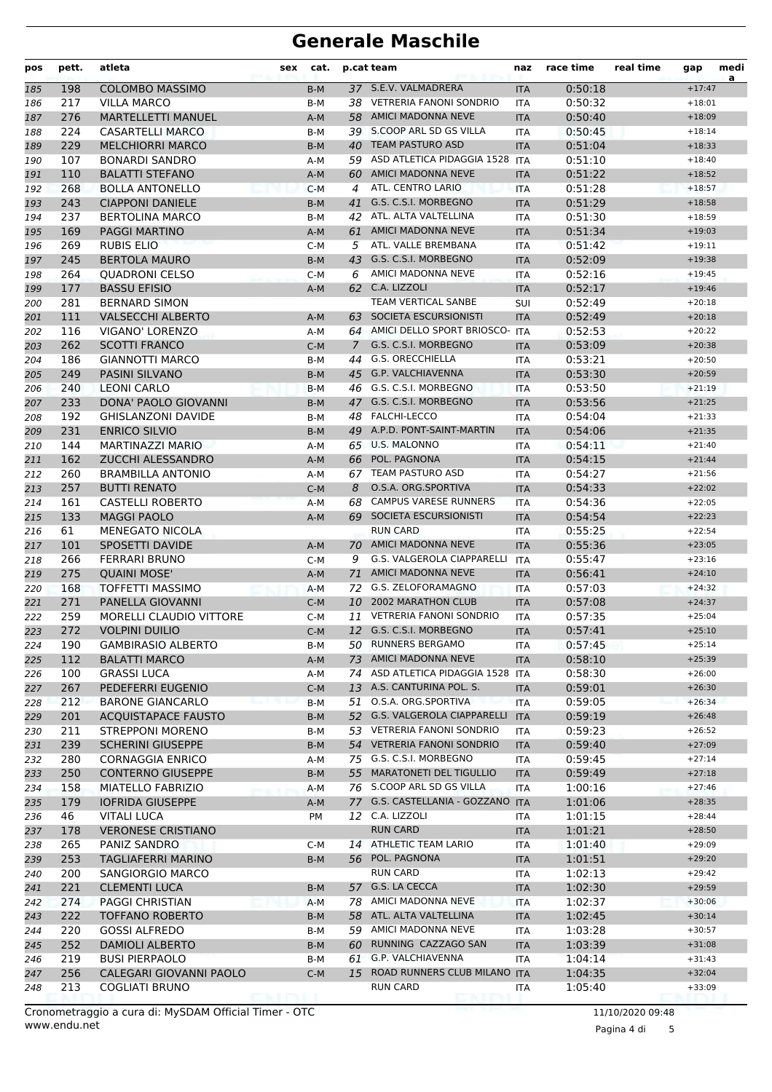| pos        | pett. | atleta                         | sex | cat.         |                | p.cat team<br>naz                           |            | race time          | real time | gap      | medi<br>a |
|------------|-------|--------------------------------|-----|--------------|----------------|---------------------------------------------|------------|--------------------|-----------|----------|-----------|
| 185        | 198   | <b>COLOMBO MASSIMO</b>         |     | $B-M$        |                | 37 S.E.V. VALMADRERA                        | <b>ITA</b> | 0:50:18            |           | $+17:47$ |           |
| 186        | 217   | <b>VILLA MARCO</b>             |     | B-M          |                | 38 VETRERIA FANONI SONDRIO                  | <b>ITA</b> | 0:50:32            |           | $+18:01$ |           |
| 187        | 276   | <b>MARTELLETTI MANUEL</b>      |     | $A-M$        |                | 58 AMICI MADONNA NEVE                       | <b>ITA</b> | 0:50:40            |           | $+18:09$ |           |
| 188        | 224   | <b>CASARTELLI MARCO</b>        |     | B-M          |                | 39 S.COOP ARL SD GS VILLA                   | <b>ITA</b> | 0:50:45            |           | $+18:14$ |           |
| 189        | 229   | <b>MELCHIORRI MARCO</b>        |     | $B-M$        | 40             | <b>TEAM PASTURO ASD</b><br><b>ITA</b>       |            | 0:51:04            |           | $+18:33$ |           |
| 190        | 107   | <b>BONARDI SANDRO</b>          |     | A-M          |                | 59 ASD ATLETICA PIDAGGIA 1528<br><b>ITA</b> |            | 0:51:10            |           | $+18:40$ |           |
| 191        | 110   | <b>BALATTI STEFANO</b>         |     | $A-M$        | 60             | <b>AMICI MADONNA NEVE</b>                   | <b>ITA</b> | 0:51:22            |           | $+18:52$ |           |
| 192        | 268   | <b>BOLLA ANTONELLO</b>         |     | $C-M$        | 4              | ATL. CENTRO LARIO                           | <b>ITA</b> | 0:51:28            |           | $+18:57$ |           |
| 193        | 243   | <b>CIAPPONI DANIELE</b>        |     | $B-M$        | 41             | G.S. C.S.I. MORBEGNO                        | <b>ITA</b> | 0:51:29            |           | $+18:58$ |           |
| 194        | 237   | <b>BERTOLINA MARCO</b>         |     | B-M          | 42             | ATL. ALTA VALTELLINA                        | <b>ITA</b> | 0:51:30            |           | $+18:59$ |           |
| 195        | 169   | <b>PAGGI MARTINO</b>           |     | $A-M$        | 61             | <b>AMICI MADONNA NEVE</b>                   | <b>ITA</b> | 0:51:34            |           | $+19:03$ |           |
| 196        | 269   | <b>RUBIS ELIO</b>              |     | $C-M$        | 5              | ATL. VALLE BREMBANA                         | <b>ITA</b> | 0:51:42            |           | $+19:11$ |           |
| 197        | 245   | <b>BERTOLA MAURO</b>           |     | $B-M$        | 43             | G.S. C.S.I. MORBEGNO                        | <b>ITA</b> | 0:52:09            |           | $+19:38$ |           |
| 198        | 264   | <b>QUADRONI CELSO</b>          |     | $C-M$        | 6              | AMICI MADONNA NEVE                          | <b>ITA</b> | 0:52:16            |           | $+19:45$ |           |
| 199        | 177   | <b>BASSU EFISIO</b>            |     | $A-M$        |                | 62 C.A. LIZZOLI                             | <b>ITA</b> | 0:52:17            |           | $+19:46$ |           |
| 200        | 281   | <b>BERNARD SIMON</b>           |     |              |                | TEAM VERTICAL SANBE                         | <b>SUI</b> | 0:52:49            |           | $+20:18$ |           |
| 201        | 111   | <b>VALSECCHI ALBERTO</b>       |     | $A-M$        | 63             | SOCIETA ESCURSIONISTI                       | <b>ITA</b> | 0:52:49            |           | $+20:18$ |           |
| 202        | 116   | <b>VIGANO' LORENZO</b>         |     | A-M          |                | 64 AMICI DELLO SPORT BRIOSCO-               | <b>ITA</b> | 0:52:53            |           | $+20:22$ |           |
| 203        | 262   | <b>SCOTTI FRANCO</b>           |     | $C-M$        | $\overline{7}$ | G.S. C.S.I. MORBEGNO                        | <b>ITA</b> | 0:53:09            |           | $+20:38$ |           |
| 204        | 186   | <b>GIANNOTTI MARCO</b>         |     | B-M          | 44             | <b>G.S. ORECCHIELLA</b>                     | <b>ITA</b> | 0:53:21            |           | $+20:50$ |           |
| 205        | 249   | PASINI SILVANO                 |     | $B-M$        | 45             | <b>G.P. VALCHIAVENNA</b>                    | <b>ITA</b> | 0:53:30            |           | $+20:59$ |           |
| 206        | 240   | <b>LEONI CARLO</b>             |     | B-M          | 46             | G.S. C.S.I. MORBEGNO                        | <b>ITA</b> | 0:53:50            |           | $+21:19$ |           |
| 207        | 233   | DONA' PAOLO GIOVANNI           |     | $B-M$        | 47             | G.S. C.S.I. MORBEGNO                        | <b>ITA</b> | 0:53:56            |           | $+21:25$ |           |
| 208        | 192   | <b>GHISLANZONI DAVIDE</b>      |     | B-M          | 48             | <b>FALCHI-LECCO</b>                         | <b>ITA</b> | 0:54:04            |           | $+21:33$ |           |
| 209        | 231   | <b>ENRICO SILVIO</b>           |     | $B-M$        | 49             | A.P.D. PONT-SAINT-MARTIN                    | <b>ITA</b> | 0:54:06            |           | $+21:35$ |           |
| 210        | 144   | <b>MARTINAZZI MARIO</b>        |     | $A-M$        |                | 65 U.S. MALONNO                             | <b>ITA</b> | 0:54:11            |           | $+21:40$ |           |
| 211        | 162   | ZUCCHI ALESSANDRO              |     | $A-M$        | 66             | POL. PAGNONA                                | <b>ITA</b> | 0:54:15            |           | $+21:44$ |           |
| 212        | 260   | <b>BRAMBILLA ANTONIO</b>       |     | A-M          | 67             | <b>TEAM PASTURO ASD</b>                     | <b>ITA</b> | 0:54:27            |           | $+21:56$ |           |
| 213        | 257   | <b>BUTTI RENATO</b>            |     | $C-M$        | 8              | O.S.A. ORG.SPORTIVA                         | <b>ITA</b> | 0:54:33            |           | $+22:02$ |           |
| 214        | 161   | <b>CASTELLI ROBERTO</b>        |     | A-M          | 68             | <b>CAMPUS VARESE RUNNERS</b>                | <b>ITA</b> | 0:54:36            |           | $+22:05$ |           |
| 215        | 133   | <b>MAGGI PAOLO</b>             |     | $A-M$        | 69             | SOCIETA ESCURSIONISTI                       | <b>ITA</b> | 0:54:54            |           | $+22:23$ |           |
| 216        | 61    | <b>MENEGATO NICOLA</b>         |     |              |                | <b>RUN CARD</b>                             | <b>ITA</b> | 0:55:25            |           | $+22:54$ |           |
| 217        | 101   | SPOSETTI DAVIDE                |     | A-M          |                | 70 AMICI MADONNA NEVE                       | <b>ITA</b> | 0:55:36            |           | $+23:05$ |           |
| 218        | 266   | <b>FERRARI BRUNO</b>           |     | $C-M$        | 9              | G.S. VALGEROLA CIAPPARELLI                  | <b>ITA</b> | 0:55:47            |           | $+23:16$ |           |
| 219        | 275   | <b>QUAINI MOSE'</b>            |     | $A-M$        | 71             | <b>AMICI MADONNA NEVE</b>                   | <b>ITA</b> | 0:56:41            |           | $+24:10$ |           |
| 220        | 168   | <b>TOFFETTI MASSIMO</b>        |     | $A-M$        | 72             | G.S. ZELOFORAMAGNO                          | <b>ITA</b> | 0:57:03            |           | $+24:32$ |           |
| 221        | 271   | PANELLA GIOVANNI               |     | $C-M$        | 10             | <b>2002 MARATHON CLUB</b>                   | <b>ITA</b> | 0:57:08            |           | $+24:37$ |           |
| 222        | 259   | <b>MORELLI CLAUDIO VITTORE</b> |     | $C-M$        | 11             | <b>VETRERIA FANONI SONDRIO</b>              | <b>ITA</b> | 0:57:35            |           | $+25:04$ |           |
| 223        | 272   | <b>VOLPINI DUILIO</b>          |     | $C-M$        |                | 12 G.S. C.S.I. MORBEGNO                     | <b>ITA</b> | 0:57:41            |           | $+25:10$ |           |
| 224        | 190   | <b>GAMBIRASIO ALBERTO</b>      |     | B-M          |                | 50 RUNNERS BERGAMO                          | ITA        | 0:57:45            |           | $+25:14$ |           |
| 225        | 112   | <b>BALATTI MARCO</b>           |     | A-M          |                | 73 AMICI MADONNA NEVE                       | <b>ITA</b> | 0:58:10            |           | $+25:39$ |           |
| 226        | 100   | <b>GRASSI LUCA</b>             |     | A-M          |                | 74 ASD ATLETICA PIDAGGIA 1528               | <b>ITA</b> | 0:58:30            |           | $+26:00$ |           |
| 227        | 267   | PEDEFERRI EUGENIO              |     | $C-M$        |                | 13 A.S. CANTURINA POL. S.                   | <b>ITA</b> | 0:59:01            |           | $+26:30$ |           |
| 228        | 212   | <b>BARONE GIANCARLO</b>        |     | B-M          |                | 51 O.S.A. ORG.SPORTIVA                      | ITA        | 0:59:05            |           | $+26:34$ |           |
| 229        | 201   | <b>ACQUISTAPACE FAUSTO</b>     |     | $B-M$        |                | 52 G.S. VALGEROLA CIAPPARELLI               | <b>ITA</b> | 0:59:19            |           | $+26:48$ |           |
| 230        | 211   | <b>STREPPONI MORENO</b>        |     | B-M          |                | 53 VETRERIA FANONI SONDRIO                  | ITA        | 0:59:23            |           | $+26:52$ |           |
| 231        | 239   | <b>SCHERINI GIUSEPPE</b>       |     | B-M          |                | 54 VETRERIA FANONI SONDRIO                  | <b>ITA</b> | 0:59:40            |           | $+27:09$ |           |
| 232        | 280   | CORNAGGIA ENRICO               |     | A-M          |                | 75 G.S. C.S.I. MORBEGNO                     | ITA        | 0:59:45            |           | $+27:14$ |           |
| 233        | 250   | <b>CONTERNO GIUSEPPE</b>       |     | $B-M$        |                | 55 MARATONETI DEL TIGULLIO                  | <b>ITA</b> | 0:59:49            |           | $+27:18$ |           |
| 234        | 158   | MIATELLO FABRIZIO              |     | A-M          |                | 76 S.COOP ARL SD GS VILLA                   | <b>ITA</b> | 1:00:16            |           | $+27:46$ |           |
| 235        | 179   | <b>IOFRIDA GIUSEPPE</b>        |     | $A-M$        |                | 77 G.S. CASTELLANIA - GOZZANO ITA           |            | 1:01:06            |           | $+28:35$ |           |
| 236        | 46    | <b>VITALI LUCA</b>             |     | PM           |                | 12 C.A. LIZZOLI                             | ITA        | 1:01:15            |           | $+28:44$ |           |
| 237        | 178   | <b>VERONESE CRISTIANO</b>      |     |              |                | <b>RUN CARD</b>                             | <b>ITA</b> | 1:01:21            |           | $+28:50$ |           |
| 238        | 265   | PANIZ SANDRO                   |     | C-M          |                | 14 ATHLETIC TEAM LARIO                      | ITA        | 1:01:40            |           | $+29:09$ |           |
| 239        | 253   | TAGLIAFERRI MARINO             |     | B-M          |                | 56 POL. PAGNONA                             | <b>ITA</b> | 1:01:51            |           | $+29:20$ |           |
| 240        | 200   | SANGIORGIO MARCO               |     |              |                | <b>RUN CARD</b>                             | ITA        | 1:02:13            |           | $+29:42$ |           |
| 241        | 221   | <b>CLEMENTI LUCA</b>           |     | B-M          |                | 57 G.S. LA CECCA                            | <b>ITA</b> | 1:02:30            |           | $+29:59$ |           |
| 242        | 274   | <b>PAGGI CHRISTIAN</b>         |     | A-M          |                | 78 AMICI MADONNA NEVE                       | ITA        | 1:02:37            |           | $+30:06$ |           |
| 243        | 222   | <b>TOFFANO ROBERTO</b>         |     | $B-M$        |                | 58 ATL. ALTA VALTELLINA                     | <b>ITA</b> | 1:02:45            |           | $+30:14$ |           |
|            | 220   | <b>GOSSI ALFREDO</b>           |     | B-M          |                | 59 AMICI MADONNA NEVE                       | ITA        | 1:03:28            |           | $+30:57$ |           |
| 244        | 252   | <b>DAMIOLI ALBERTO</b>         |     | B-M          |                | 60 RUNNING CAZZAGO SAN                      |            | 1:03:39            |           | $+31:08$ |           |
| 245        | 219   | <b>BUSI PIERPAOLO</b>          |     |              |                | 61 G.P. VALCHIAVENNA                        | <b>ITA</b> | 1:04:14            |           | $+31:43$ |           |
| 246        | 256   | CALEGARI GIOVANNI PAOLO        |     | B-M<br>$C-M$ |                | 15 ROAD RUNNERS CLUB MILANO ITA             | ITA        |                    |           | $+32:04$ |           |
| 247<br>248 | 213   | COGLIATI BRUNO                 |     |              |                | <b>RUN CARD</b>                             | ITA        | 1:04:35<br>1:05:40 |           | $+33:09$ |           |
|            |       |                                |     |              |                |                                             |            |                    |           |          |           |

Pagina 4 di 5